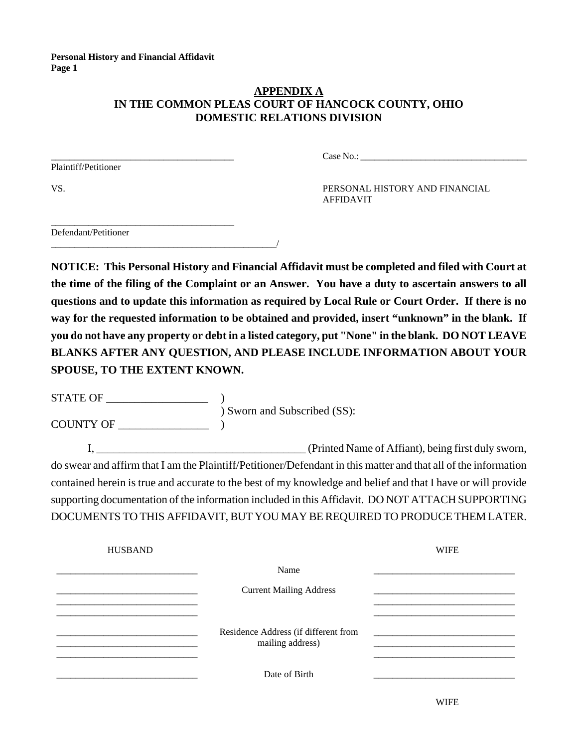# **APPENDIX A IN THE COMMON PLEAS COURT OF HANCOCK COUNTY, OHIO DOMESTIC RELATIONS DIVISION**

Plaintiff/Petitioner

\_\_\_\_\_\_\_\_\_\_\_\_\_\_\_\_\_\_\_\_\_\_\_\_\_\_\_\_\_\_\_\_\_\_\_\_\_\_\_ Case No.: \_\_\_\_\_\_\_\_\_\_\_\_\_\_\_\_\_\_\_\_\_\_\_\_\_\_\_\_\_\_\_\_\_\_\_\_

VS. PERSONAL HISTORY AND FINANCIAL AFFIDAVIT

\_\_\_\_\_\_\_\_\_\_\_\_\_\_\_\_\_\_\_\_\_\_\_\_\_\_\_\_\_\_\_\_\_\_\_\_\_\_\_ Defendant/Petitioner \_\_\_\_\_\_\_\_\_\_\_\_\_\_\_\_\_\_\_\_\_\_\_\_\_\_\_\_\_\_\_\_\_\_\_\_\_\_\_\_\_\_\_\_\_\_\_\_/

**NOTICE: This Personal History and Financial Affidavit must be completed and filed with Court at the time of the filing of the Complaint or an Answer. You have a duty to ascertain answers to all questions and to update this information as required by Local Rule or Court Order. If there is no way for the requested information to be obtained and provided, insert "unknown" in the blank. If you do not have any property or debt in a listed category, put "None" in the blank. DO NOT LEAVE BLANKS AFTER ANY QUESTION, AND PLEASE INCLUDE INFORMATION ABOUT YOUR SPOUSE, TO THE EXTENT KNOWN.** 

 $\begin{tabular}{c} \bf STATE OF \end{tabular}$ ) Sworn and Subscribed (SS): COUNTY OF \_\_\_\_\_\_\_\_\_\_\_\_\_\_\_\_ )

I,  $\qquad \qquad \qquad \qquad$  (Printed Name of Affiant), being first duly sworn, do swear and affirm that I am the Plaintiff/Petitioner/Defendant in this matter and that all of the information contained herein is true and accurate to the best of my knowledge and belief and that I have or will provide supporting documentation of the information included in this Affidavit. DO NOT ATTACH SUPPORTING DOCUMENTS TO THIS AFFIDAVIT, BUT YOU MAY BE REQUIRED TO PRODUCE THEM LATER.

| <b>HUSBAND</b> |                                                          | <b>WIFE</b> |
|----------------|----------------------------------------------------------|-------------|
|                | Name                                                     |             |
|                | <b>Current Mailing Address</b>                           |             |
|                |                                                          |             |
|                | Residence Address (if different from<br>mailing address) |             |
|                | Date of Birth                                            |             |
|                |                                                          |             |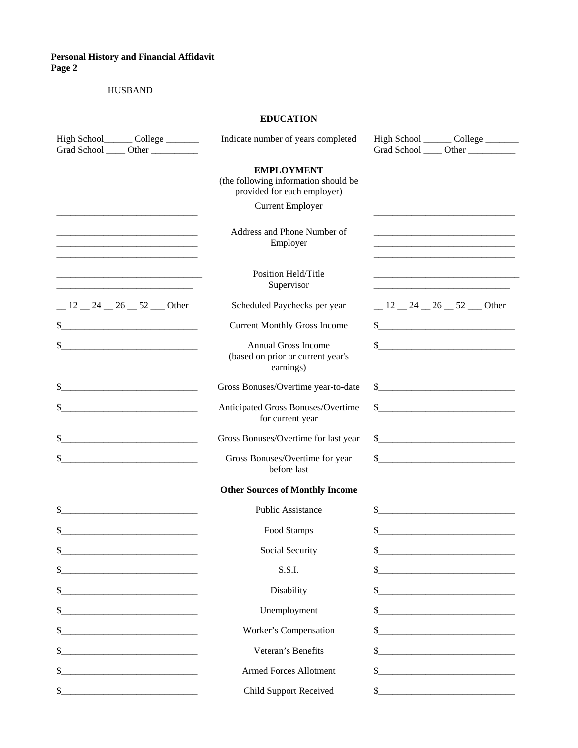#### HUSBAND

# **EDUCATION**

| High School________ College ________                                                                                                                                                                                                       | Indicate number of years completed                                                       | High School ________ College _______                                                                                                                                                                                                                                                                                                                                                                    |
|--------------------------------------------------------------------------------------------------------------------------------------------------------------------------------------------------------------------------------------------|------------------------------------------------------------------------------------------|---------------------------------------------------------------------------------------------------------------------------------------------------------------------------------------------------------------------------------------------------------------------------------------------------------------------------------------------------------------------------------------------------------|
|                                                                                                                                                                                                                                            |                                                                                          |                                                                                                                                                                                                                                                                                                                                                                                                         |
|                                                                                                                                                                                                                                            | <b>EMPLOYMENT</b><br>(the following information should be<br>provided for each employer) |                                                                                                                                                                                                                                                                                                                                                                                                         |
|                                                                                                                                                                                                                                            | <b>Current Employer</b>                                                                  |                                                                                                                                                                                                                                                                                                                                                                                                         |
| <u> 1989 - Johann Barn, mars an t-Amerikaansk politiker (</u>                                                                                                                                                                              | Address and Phone Number of<br>Employer                                                  |                                                                                                                                                                                                                                                                                                                                                                                                         |
|                                                                                                                                                                                                                                            | Position Held/Title<br>Supervisor                                                        | <u> 1989 - Johann John Stein, markin fizik mendekan personal dan personal dan personal dan personal dan personal </u>                                                                                                                                                                                                                                                                                   |
| $-12-24-26=52$ Other                                                                                                                                                                                                                       | Scheduled Paychecks per year                                                             | $-12-24-26=52$ Other                                                                                                                                                                                                                                                                                                                                                                                    |
| \$                                                                                                                                                                                                                                         | <b>Current Monthly Gross Income</b>                                                      | $\frac{1}{2}$                                                                                                                                                                                                                                                                                                                                                                                           |
| \$                                                                                                                                                                                                                                         | <b>Annual Gross Income</b><br>(based on prior or current year's<br>earnings)             | $\$\$                                                                                                                                                                                                                                                                                                                                                                                                   |
| \$                                                                                                                                                                                                                                         | Gross Bonuses/Overtime year-to-date                                                      | $\frac{\frac{1}{2} + \frac{1}{2} + \frac{1}{2} + \frac{1}{2} + \frac{1}{2} + \frac{1}{2} + \frac{1}{2} + \frac{1}{2} + \frac{1}{2} + \frac{1}{2} + \frac{1}{2} + \frac{1}{2} + \frac{1}{2} + \frac{1}{2} + \frac{1}{2} + \frac{1}{2} + \frac{1}{2} + \frac{1}{2} + \frac{1}{2} + \frac{1}{2} + \frac{1}{2} + \frac{1}{2} + \frac{1}{2} + \frac{1}{2} + \frac{1}{2} + \frac{1}{2} + \frac{1}{2} + \frac$ |
| \$                                                                                                                                                                                                                                         | Anticipated Gross Bonuses/Overtime<br>for current year                                   | $\sim$                                                                                                                                                                                                                                                                                                                                                                                                  |
| \$                                                                                                                                                                                                                                         | Gross Bonuses/Overtime for last year                                                     |                                                                                                                                                                                                                                                                                                                                                                                                         |
| \$<br><u> 1980 - Jan Barat, martin a</u>                                                                                                                                                                                                   | Gross Bonuses/Overtime for year<br>before last                                           | $\sim$                                                                                                                                                                                                                                                                                                                                                                                                  |
|                                                                                                                                                                                                                                            | <b>Other Sources of Monthly Income</b>                                                   |                                                                                                                                                                                                                                                                                                                                                                                                         |
| \$                                                                                                                                                                                                                                         | Public Assistance                                                                        |                                                                                                                                                                                                                                                                                                                                                                                                         |
| \$                                                                                                                                                                                                                                         | Food Stamps                                                                              | $\frac{1}{2}$                                                                                                                                                                                                                                                                                                                                                                                           |
| \$<br><u> 1980 - Jan Barnett, martin film ar yn y brenin y brenin y de gant y brenin y brenin y brenin y brenin y breni</u>                                                                                                                | Social Security                                                                          |                                                                                                                                                                                                                                                                                                                                                                                                         |
| \$                                                                                                                                                                                                                                         | S.S.I.                                                                                   |                                                                                                                                                                                                                                                                                                                                                                                                         |
| \$                                                                                                                                                                                                                                         | Disability                                                                               |                                                                                                                                                                                                                                                                                                                                                                                                         |
| \$                                                                                                                                                                                                                                         | Unemployment                                                                             | $\frac{1}{2}$                                                                                                                                                                                                                                                                                                                                                                                           |
| \$<br><u> 1989 - Johann John Stein, mars an deus Amerikaansk kommunister (</u>                                                                                                                                                             | Worker's Compensation                                                                    | $\mathbb{S}^-$                                                                                                                                                                                                                                                                                                                                                                                          |
| \$<br><u> 2000 - Jan James James Jan James James James James James James James James James James James James James James James James James James James James James James James James James James James James James James James James J</u> | Veteran's Benefits                                                                       | $\sim$                                                                                                                                                                                                                                                                                                                                                                                                  |
| \$                                                                                                                                                                                                                                         | <b>Armed Forces Allotment</b>                                                            | $\sim$                                                                                                                                                                                                                                                                                                                                                                                                  |
| \$                                                                                                                                                                                                                                         | <b>Child Support Received</b>                                                            |                                                                                                                                                                                                                                                                                                                                                                                                         |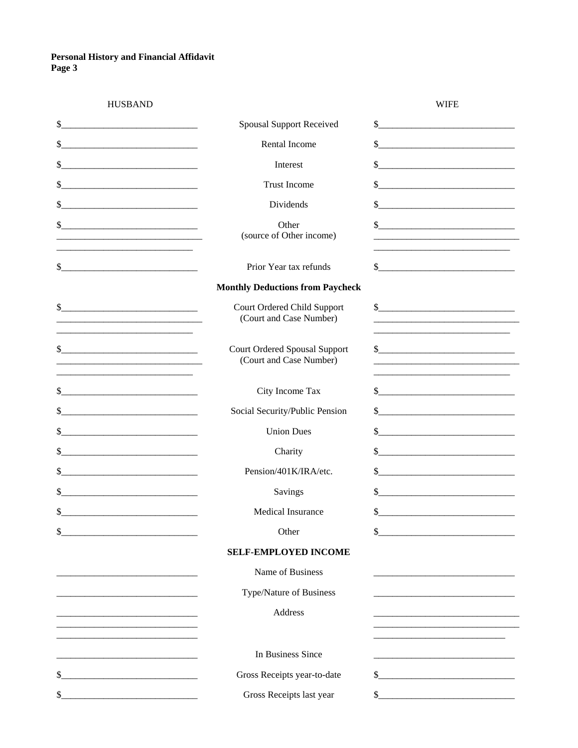| <b>HUSBAND</b>                                                                                                             |                                                                 | <b>WIFE</b>                                                                                                                                                                                                                                                                                                                                                                                                              |
|----------------------------------------------------------------------------------------------------------------------------|-----------------------------------------------------------------|--------------------------------------------------------------------------------------------------------------------------------------------------------------------------------------------------------------------------------------------------------------------------------------------------------------------------------------------------------------------------------------------------------------------------|
| \$                                                                                                                         | <b>Spousal Support Received</b>                                 | $\frac{\frac{1}{2} + \frac{1}{2} + \frac{1}{2} + \frac{1}{2} + \frac{1}{2} + \frac{1}{2} + \frac{1}{2} + \frac{1}{2} + \frac{1}{2} + \frac{1}{2} + \frac{1}{2} + \frac{1}{2} + \frac{1}{2} + \frac{1}{2} + \frac{1}{2} + \frac{1}{2} + \frac{1}{2} + \frac{1}{2} + \frac{1}{2} + \frac{1}{2} + \frac{1}{2} + \frac{1}{2} + \frac{1}{2} + \frac{1}{2} + \frac{1}{2} + \frac{1}{2} + \frac{1}{2} + \frac$                  |
| \$                                                                                                                         | Rental Income                                                   | $\frac{1}{2}$ $\frac{1}{2}$ $\frac{1}{2}$ $\frac{1}{2}$ $\frac{1}{2}$ $\frac{1}{2}$ $\frac{1}{2}$ $\frac{1}{2}$ $\frac{1}{2}$ $\frac{1}{2}$ $\frac{1}{2}$ $\frac{1}{2}$ $\frac{1}{2}$ $\frac{1}{2}$ $\frac{1}{2}$ $\frac{1}{2}$ $\frac{1}{2}$ $\frac{1}{2}$ $\frac{1}{2}$ $\frac{1}{2}$ $\frac{1}{2}$ $\frac{1}{2}$                                                                                                      |
| \$                                                                                                                         | Interest                                                        | $\sim$                                                                                                                                                                                                                                                                                                                                                                                                                   |
| \$                                                                                                                         | <b>Trust Income</b>                                             | \$                                                                                                                                                                                                                                                                                                                                                                                                                       |
| \$                                                                                                                         | Dividends                                                       | $\frac{1}{2}$                                                                                                                                                                                                                                                                                                                                                                                                            |
| $\frac{1}{2}$                                                                                                              | Other<br>(source of Other income)                               | $\sim$                                                                                                                                                                                                                                                                                                                                                                                                                   |
| \$<br><u> 1980 - Jan Bernard Bernard, mars and de British and de British and de British and de British and de British</u>  | Prior Year tax refunds                                          | $\sim$                                                                                                                                                                                                                                                                                                                                                                                                                   |
|                                                                                                                            | <b>Monthly Deductions from Paycheck</b>                         |                                                                                                                                                                                                                                                                                                                                                                                                                          |
| \$<br><u> 1980 - Johann Barn, mars ann an t-Amhain Aonaich an t-Aonaich an t-Aonaich ann an t-Aonaich ann an t-Aonaich</u> | Court Ordered Child Support<br>(Court and Case Number)          | $\frac{1}{2}$                                                                                                                                                                                                                                                                                                                                                                                                            |
| $\frac{1}{2}$                                                                                                              | <b>Court Ordered Spousal Support</b><br>(Court and Case Number) | $\begin{array}{c c c c c c} \hline \textbf{S} & \textbf{S} & \textbf{S} & \textbf{S} & \textbf{S} & \textbf{S} & \textbf{S} & \textbf{S} & \textbf{S} & \textbf{S} & \textbf{S} & \textbf{S} & \textbf{S} & \textbf{S} & \textbf{S} & \textbf{S} & \textbf{S} & \textbf{S} & \textbf{S} & \textbf{S} & \textbf{S} & \textbf{S} & \textbf{S} & \textbf{S} & \textbf{S} & \textbf{S} & \textbf{S} & \textbf{S} & \textbf{$ |
| \$                                                                                                                         | City Income Tax                                                 | $\frac{\text{S}}{\text{S}}$                                                                                                                                                                                                                                                                                                                                                                                              |
| \$                                                                                                                         | Social Security/Public Pension                                  | $\frac{1}{2}$                                                                                                                                                                                                                                                                                                                                                                                                            |
| \$                                                                                                                         | <b>Union Dues</b>                                               | \$                                                                                                                                                                                                                                                                                                                                                                                                                       |
| \$                                                                                                                         | Charity                                                         | $\sim$                                                                                                                                                                                                                                                                                                                                                                                                                   |
| \$                                                                                                                         | Pension/401K/IRA/etc.                                           | $\frac{\text{S}}{\text{S}}$                                                                                                                                                                                                                                                                                                                                                                                              |
| \$                                                                                                                         | Savings                                                         | $\frac{1}{2}$                                                                                                                                                                                                                                                                                                                                                                                                            |
| \$                                                                                                                         | Medical Insurance                                               | $\frac{\text{S}}{\text{S}}$                                                                                                                                                                                                                                                                                                                                                                                              |
| \$                                                                                                                         | Other                                                           | \$                                                                                                                                                                                                                                                                                                                                                                                                                       |
|                                                                                                                            | <b>SELF-EMPLOYED INCOME</b>                                     |                                                                                                                                                                                                                                                                                                                                                                                                                          |
|                                                                                                                            | Name of Business                                                |                                                                                                                                                                                                                                                                                                                                                                                                                          |
|                                                                                                                            | Type/Nature of Business                                         |                                                                                                                                                                                                                                                                                                                                                                                                                          |
|                                                                                                                            | <b>Address</b>                                                  |                                                                                                                                                                                                                                                                                                                                                                                                                          |
|                                                                                                                            | In Business Since                                               |                                                                                                                                                                                                                                                                                                                                                                                                                          |
| \$                                                                                                                         | Gross Receipts year-to-date                                     | \$                                                                                                                                                                                                                                                                                                                                                                                                                       |
| \$                                                                                                                         | Gross Receipts last year                                        | \$                                                                                                                                                                                                                                                                                                                                                                                                                       |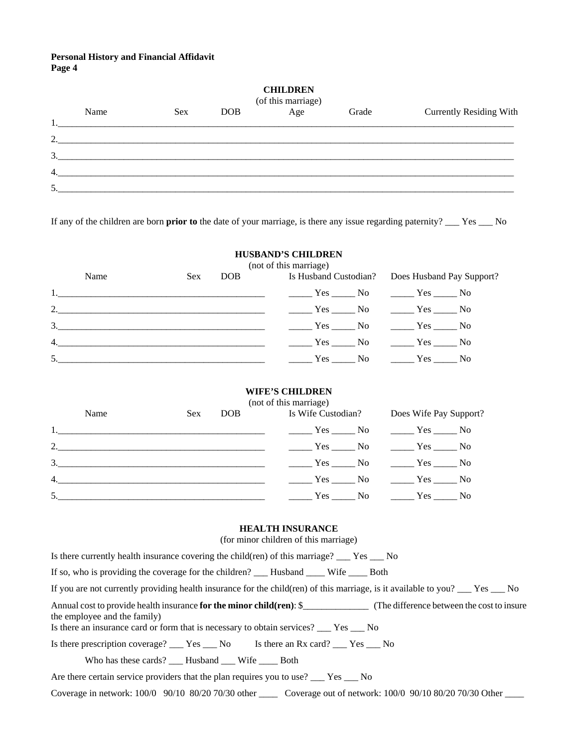| <b>CHILDREN</b><br>(of this marriage)<br>Age |      |     |            |  |       |                                |
|----------------------------------------------|------|-----|------------|--|-------|--------------------------------|
|                                              | Name | Sex | <b>DOB</b> |  | Grade | <b>Currently Residing With</b> |
| 1.                                           |      |     |            |  |       |                                |
| 2.                                           |      |     |            |  |       |                                |
| 3.                                           |      |     |            |  |       |                                |
| 4.                                           |      |     |            |  |       |                                |
| 5.                                           |      |     |            |  |       |                                |

If any of the children are born **prior to** the date of your marriage, is there any issue regarding paternity? \_\_\_ Yes \_\_\_ No

## **HUSBAND'S CHILDREN**

|                                                                                                                                                                                                                                                                                                |            | (not of this marriage)                              |  |  |
|------------------------------------------------------------------------------------------------------------------------------------------------------------------------------------------------------------------------------------------------------------------------------------------------|------------|-----------------------------------------------------|--|--|
| Name                                                                                                                                                                                                                                                                                           | <b>Sex</b> | DOB Is Husband Custodian? Does Husband Pay Support? |  |  |
|                                                                                                                                                                                                                                                                                                |            |                                                     |  |  |
| 2. No Yes No Yes No Yes No Yes No                                                                                                                                                                                                                                                              |            |                                                     |  |  |
| $\frac{3.}{10.1}$ $\frac{3.}{10.1}$ $\frac{3.}{10.1}$ $\frac{3.}{10.1}$ $\frac{3.}{10.1}$ $\frac{3.}{10.1}$ $\frac{3.}{10.1}$ $\frac{3.}{10.1}$ $\frac{3.}{10.1}$ $\frac{3.}{10.1}$ $\frac{3.}{10.1}$ $\frac{3.}{10.1}$ $\frac{3.}{10.1}$ $\frac{3.}{10.1}$ $\frac{3.}{10.1}$ $\frac{3.}{10.1$ |            |                                                     |  |  |
| 4. No Yes No Yes No Yes No Yes No                                                                                                                                                                                                                                                              |            |                                                     |  |  |
| 5. No The Yes No The Yes No The Yes No The Yes No The Yes No The Yes No The Yes No The Yes No The Yes No The Yes No The Yes No The Yes No The Yes No The Yes No The Yes No The Yes No The Yes No The Yes No The Yes No The Yes                                                                 |            |                                                     |  |  |

#### **WIFE'S CHILDREN**

|                                                                                                                                                                                                                                                                                                |            |     | (not of this marriage) |                        |  |
|------------------------------------------------------------------------------------------------------------------------------------------------------------------------------------------------------------------------------------------------------------------------------------------------|------------|-----|------------------------|------------------------|--|
| Name                                                                                                                                                                                                                                                                                           | <b>Sex</b> | DOB | Is Wife Custodian?     | Does Wife Pay Support? |  |
|                                                                                                                                                                                                                                                                                                |            |     |                        |                        |  |
|                                                                                                                                                                                                                                                                                                |            |     |                        |                        |  |
| $\frac{3.}{10.1}$ $\frac{3.}{10.1}$ $\frac{3.}{10.1}$ $\frac{3.}{10.1}$ $\frac{3.}{10.1}$ $\frac{3.}{10.1}$ $\frac{3.}{10.1}$ $\frac{3.}{10.1}$ $\frac{3.}{10.1}$ $\frac{3.}{10.1}$ $\frac{3.}{10.1}$ $\frac{3.}{10.1}$ $\frac{3.}{10.1}$ $\frac{3.}{10.1}$ $\frac{3.}{10.1}$ $\frac{3.}{10.1$ |            |     |                        |                        |  |
|                                                                                                                                                                                                                                                                                                |            |     |                        |                        |  |
| 5. No Test No Test No Test No Test No Test No Test No Test No Test No Test No Test No Test No Test No Test No Test No Test No Test No Test No Test No Test No Test No Test No Test No Test No Test No Test No Test No Test No                                                                  |            |     |                        |                        |  |

#### **HEALTH INSURANCE**

(for minor children of this marriage)

Is there currently health insurance covering the child(ren) of this marriage? \_\_\_ Yes \_\_\_ No

If so, who is providing the coverage for the children? \_\_\_ Husband \_\_\_\_ Wife \_\_\_\_ Both

If you are not currently providing health insurance for the child(ren) of this marriage, is it available to you? \_\_\_ Yes \_\_\_ No

Annual cost to provide health insurance **for the minor child(ren)**: \$\_\_\_\_\_\_\_\_\_\_\_\_\_\_ (The difference between the cost to insure the employee and the family)

Is there an insurance card or form that is necessary to obtain services? \_\_\_ Yes \_\_\_ No

Is there prescription coverage? \_\_\_ Yes \_\_\_ No Is there an Rx card? \_\_\_ Yes \_\_\_ No

Who has these cards? \_\_\_\_ Husband \_\_\_\_ Wife \_\_\_\_\_ Both

Are there certain service providers that the plan requires you to use? \_\_\_ Yes \_\_\_ No

Coverage in network: 100/0 90/10 80/20 70/30 other \_\_\_\_ Coverage out of network: 100/0 90/10 80/20 70/30 Other \_\_\_\_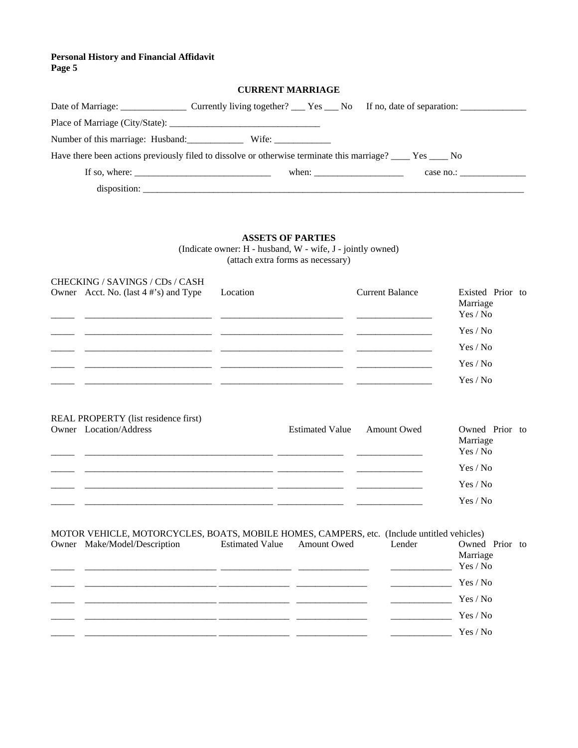| <b>CURRENT MARRIAGE</b>                                                                                                                                                                                                                                                                                                                                                                       |                                                                                                             |           |  |  |  |
|-----------------------------------------------------------------------------------------------------------------------------------------------------------------------------------------------------------------------------------------------------------------------------------------------------------------------------------------------------------------------------------------------|-------------------------------------------------------------------------------------------------------------|-----------|--|--|--|
|                                                                                                                                                                                                                                                                                                                                                                                               |                                                                                                             |           |  |  |  |
|                                                                                                                                                                                                                                                                                                                                                                                               |                                                                                                             |           |  |  |  |
|                                                                                                                                                                                                                                                                                                                                                                                               |                                                                                                             |           |  |  |  |
|                                                                                                                                                                                                                                                                                                                                                                                               | Have there been actions previously filed to dissolve or otherwise terminate this marriage? ____ Yes ____ No |           |  |  |  |
| If so, where: $\frac{1}{\sqrt{1-\frac{1}{2}}}\left\{ \frac{1}{2} + \frac{1}{2} + \frac{1}{2} + \frac{1}{2} + \frac{1}{2} + \frac{1}{2} + \frac{1}{2} + \frac{1}{2} + \frac{1}{2} + \frac{1}{2} + \frac{1}{2} + \frac{1}{2} + \frac{1}{2} + \frac{1}{2} + \frac{1}{2} + \frac{1}{2} + \frac{1}{2} + \frac{1}{2} + \frac{1}{2} + \frac{1}{2} + \frac{1}{2} + \frac{1}{2} + \frac{1}{2} + \frac$ | when: $\frac{1}{\sqrt{1-\frac{1}{2}} \cdot \frac{1}{2}}$                                                    | case no.: |  |  |  |
|                                                                                                                                                                                                                                                                                                                                                                                               |                                                                                                             |           |  |  |  |

#### **ASSETS OF PARTIES**

(Indicate owner: H - husband, W - wife, J - jointly owned) (attach extra forms as necessary)

| CHECKING / SAVINGS / CDs / CASH       |          |                        |                                          |
|---------------------------------------|----------|------------------------|------------------------------------------|
| Owner Acct. No. (last 4 #'s) and Type | Location | <b>Current Balance</b> | Existed Prior to<br>Marriage<br>Yes / No |
|                                       |          |                        | Yes / No                                 |
|                                       |          |                        | Yes / No                                 |
|                                       |          |                        | Yes / No                                 |
|                                       |          |                        | Yes / No                                 |

# REAL PROPERTY (list residence first)

| Owner Location/Address | Estimated Value Amount Owed | Owned Prior to<br>Marriage<br>Yes / No |
|------------------------|-----------------------------|----------------------------------------|
|                        |                             | Yes / No                               |
|                        |                             | Yes / No                               |
|                        |                             | Yes / No                               |

| MOTOR VEHICLE, MOTORCYCLES, BOATS, MOBILE HOMES, CAMPERS, etc. (Include untitled vehicles) |                              |                        |             |        |                                        |  |  |  |
|--------------------------------------------------------------------------------------------|------------------------------|------------------------|-------------|--------|----------------------------------------|--|--|--|
|                                                                                            | Owner Make/Model/Description | <b>Estimated Value</b> | Amount Owed | Lender | Owned Prior to<br>Marriage<br>Yes / No |  |  |  |
|                                                                                            |                              |                        |             |        | Yes / No                               |  |  |  |
|                                                                                            |                              |                        |             |        | Yes / No                               |  |  |  |
|                                                                                            |                              |                        |             |        | Yes / No                               |  |  |  |
|                                                                                            |                              |                        |             |        | Yes / No                               |  |  |  |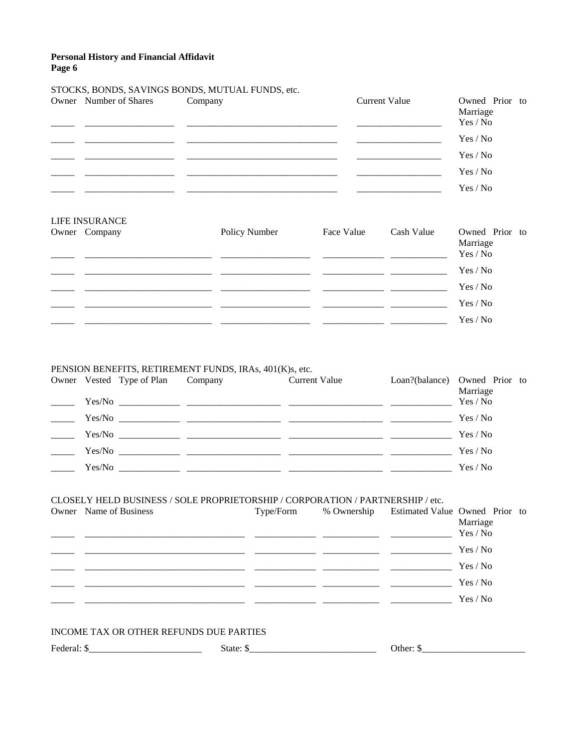# STOCKS, BONDS, SAVINGS BONDS, MUTUAL FUNDS, etc.

| Owner Number of Shares | Company | <b>Current Value</b> | Owned Prior to<br>Marriage |
|------------------------|---------|----------------------|----------------------------|
|                        |         |                      | Yes / No                   |
|                        |         |                      | Yes / No                   |
|                        |         |                      | Yes / No                   |
|                        |         |                      | Yes / No                   |
|                        |         |                      | Yes / No                   |

| LIFE INSURANCE |               |            |            |                                        |
|----------------|---------------|------------|------------|----------------------------------------|
| Owner Company  | Policy Number | Face Value | Cash Value | Owned Prior to<br>Marriage<br>Yes / No |
|                |               |            |            | Yes / No                               |
|                |               |            |            | Yes / No                               |
|                |               |            |            | Yes / No                               |
|                |               |            |            | Yes / No                               |
|                |               |            |            |                                        |

## PENSION BENEFITS, RETIREMENT FUNDS, IRAs, 401(K)s, etc.

| Owner Vested Type of Plan | Company | Current Value                                                  | Loan?(balance) Owned Prior to<br>Marriage |  |
|---------------------------|---------|----------------------------------------------------------------|-------------------------------------------|--|
|                           |         |                                                                | Yes / No                                  |  |
|                           |         |                                                                | Yes / No                                  |  |
|                           |         |                                                                | Yes / No                                  |  |
| Yes/No                    |         | <u> 1980 - John Stein, Amerikaansk politiker (* 1980)</u>      | Yes / No                                  |  |
| Yes/No                    |         | <u> 1990 - Jan James James, amerikansk politiker (d. 1980)</u> | Yes / No                                  |  |

#### CLOSELY HELD BUSINESS / SOLE PROPRIETORSHIP / CORPORATION / PARTNERSHIP / etc.

| Owner Name of Business | Type/Form | % Ownership | Estimated Value Owned Prior to | Marriage<br>Yes / No |  |
|------------------------|-----------|-------------|--------------------------------|----------------------|--|
|                        |           |             |                                | Yes / No             |  |
|                        |           |             |                                | Yes / No             |  |
|                        |           |             |                                | Yes / No             |  |
|                        |           |             |                                | Yes / No             |  |

## INCOME TAX OR OTHER REFUNDS DUE PARTIES

Federal:  $\frac{1}{2}$  Federal:  $\frac{1}{2}$  Federal:  $\frac{1}{2}$  Federal:  $\frac{1}{2}$  Federal:  $\frac{1}{2}$  Federal:  $\frac{1}{2}$  Federal:  $\frac{1}{2}$  Federal:  $\frac{1}{2}$  Federal:  $\frac{1}{2}$  Federal:  $\frac{1}{2}$  Federal:  $\frac{1}{2}$  Federal:  $\frac$ 

 $\frac{\sqrt{3}}{2}$  Other:  $\frac{\sqrt{3}}{2}$  Other:  $\frac{\sqrt{3}}{2}$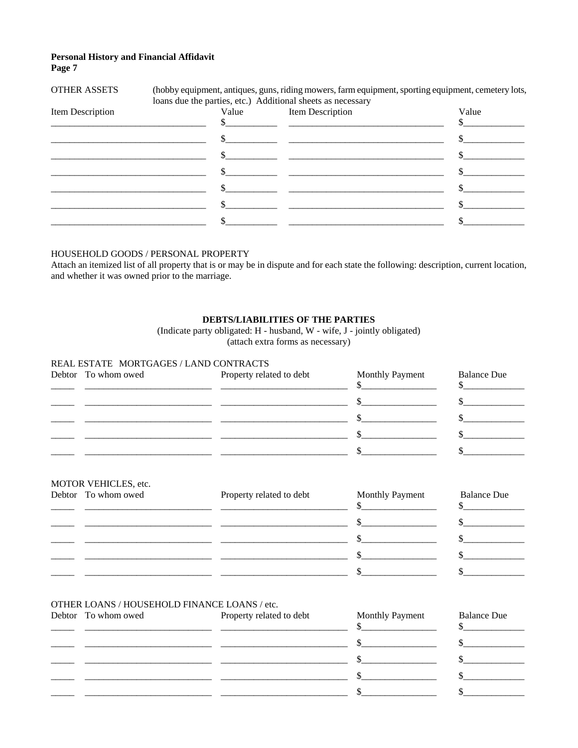| <b>OTHER ASSETS</b> |                                                             | (hobby equipment, antiques, guns, riding mowers, farm equipment, sporting equipment, cemetery lots, |       |
|---------------------|-------------------------------------------------------------|-----------------------------------------------------------------------------------------------------|-------|
|                     | loans due the parties, etc.) Additional sheets as necessary |                                                                                                     |       |
| Item Description    | Value                                                       | Item Description                                                                                    | Value |
|                     |                                                             |                                                                                                     |       |
|                     |                                                             |                                                                                                     |       |
|                     |                                                             |                                                                                                     |       |
|                     |                                                             |                                                                                                     |       |
|                     |                                                             |                                                                                                     |       |
|                     |                                                             |                                                                                                     |       |
|                     |                                                             |                                                                                                     |       |

## HOUSEHOLD GOODS / PERSONAL PROPERTY

Attach an itemized list of all property that is or may be in dispute and for each state the following: description, current location, and whether it was owned prior to the marriage.

#### DEBTS/LIABILITIES OF THE PARTIES

(Indicate party obligated: H - husband, W - wife, J - jointly obligated) (attach extra forms as necessary)

#### REAL ESTATE MORTGAGES / LAND CONTRACTS

| Debtor To whom owed | Property related to debt | Monthly Payment | <b>Balance Due</b> |
|---------------------|--------------------------|-----------------|--------------------|
|                     |                          |                 |                    |
|                     |                          |                 |                    |
|                     |                          |                 |                    |
|                     |                          |                 |                    |

## MOTOR VEHICLES, etc.

| Debtor To whom owed | Property related to debt | Monthly Payment | <b>Balance Due</b> |
|---------------------|--------------------------|-----------------|--------------------|
|                     |                          |                 |                    |
|                     |                          |                 |                    |
|                     |                          |                 |                    |
|                     |                          |                 |                    |

#### OTHER LOANS / HOUSEHOLD FINANCE LOANS / etc.

| Debtor To whom owed | Property related to debt | <b>Monthly Payment</b> | <b>Balance Due</b> |
|---------------------|--------------------------|------------------------|--------------------|
|                     |                          |                        |                    |
|                     |                          |                        |                    |
|                     |                          |                        |                    |
|                     |                          |                        |                    |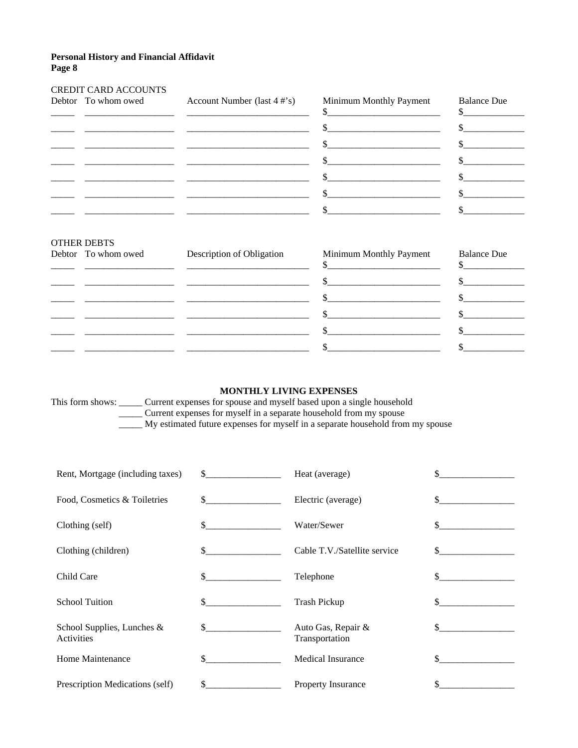# CREDIT CARD ACCOUNTS

|                    | Debtor To whom owed Account Number (last 4 #'s)                                                                                                                                                                                                                                                                                                                                                                   | Minimum Monthly Payment<br>$\frac{\text{S}}{\text{S}}$ | <b>Balance Due</b><br>$\frac{\text{S}}{\text{S}}$ |
|--------------------|-------------------------------------------------------------------------------------------------------------------------------------------------------------------------------------------------------------------------------------------------------------------------------------------------------------------------------------------------------------------------------------------------------------------|--------------------------------------------------------|---------------------------------------------------|
|                    | <u> 1999 - Andrea Stadt British, amerikan besteht besteht besteht aus der Stadt British besteht aus der Stadt Bri</u>                                                                                                                                                                                                                                                                                             | $\frac{1}{2}$                                          | $\sim$                                            |
|                    |                                                                                                                                                                                                                                                                                                                                                                                                                   |                                                        | $\sim$ $\sim$                                     |
|                    |                                                                                                                                                                                                                                                                                                                                                                                                                   |                                                        | $\sim$ $\sim$                                     |
|                    | $\overline{\phantom{a}}$ , and the contract of $\overline{\phantom{a}}$ , and $\overline{\phantom{a}}$ , $\overline{\phantom{a}}$ , $\overline{\phantom{a}}$ , $\overline{\phantom{a}}$ , $\overline{\phantom{a}}$ , $\overline{\phantom{a}}$ , $\overline{\phantom{a}}$ , $\overline{\phantom{a}}$ , $\overline{\phantom{a}}$ , $\overline{\phantom{a}}$ , $\overline{\phantom{a}}$ , $\overline{\phantom{a}}$ , |                                                        | $\mathbb{S}$                                      |
|                    |                                                                                                                                                                                                                                                                                                                                                                                                                   | $\mathcal{S}$                                          | $\mathbb{S}$                                      |
|                    |                                                                                                                                                                                                                                                                                                                                                                                                                   | $\mathbb{S}$                                           |                                                   |
|                    |                                                                                                                                                                                                                                                                                                                                                                                                                   |                                                        |                                                   |
| <b>OTHER DEBTS</b> | the contract of the contract of the contract of the contract of the contract of the contract of the contract of                                                                                                                                                                                                                                                                                                   |                                                        |                                                   |

| Debtor To whom owed | Description of Obligation | Minimum Monthly Payment<br>$\mathbf b$ | <b>Balance Due</b> |
|---------------------|---------------------------|----------------------------------------|--------------------|
|                     |                           |                                        |                    |
|                     |                           |                                        |                    |
|                     |                           |                                        |                    |
|                     |                           |                                        |                    |
|                     |                           |                                        |                    |

## **MONTHLY LIVING EXPENSES**

This form shows: \_\_\_\_\_ Current expenses for spouse and myself based upon a single household **Experience for systems** and injective upon a single household from my spouse My estimated future expenses for myself in a separate household from my spouse

| Rent, Mortgage (including taxes)            | $\mathbb{S}$   | Heat (average)                       | \$            |
|---------------------------------------------|----------------|--------------------------------------|---------------|
| Food, Cosmetics & Toiletries                | $\mathbf{s}$   | Electric (average)                   |               |
| Clothing (self)                             | \$             | Water/Sewer                          |               |
| Clothing (children)                         | $\mathbb{S}^-$ | Cable T.V./Satellite service         | $\mathcal{S}$ |
| Child Care                                  | \$             | Telephone                            |               |
| <b>School Tuition</b>                       | \$.            | <b>Trash Pickup</b>                  |               |
| School Supplies, Lunches $\&$<br>Activities |                | Auto Gas, Repair &<br>Transportation |               |
| Home Maintenance                            | \$.            | <b>Medical Insurance</b>             |               |
| Prescription Medications (self)             | \$             | <b>Property Insurance</b>            |               |